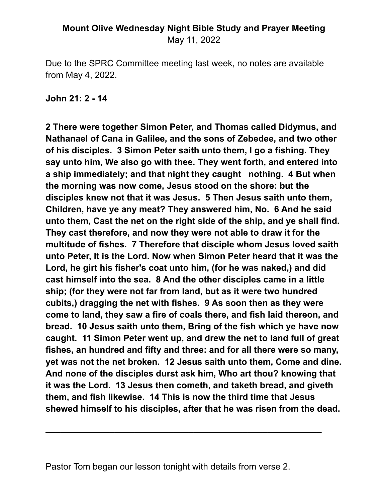#### **Mount Olive Wednesday Night Bible Study and Prayer Meeting** May 11, 2022

Due to the SPRC Committee meeting last week, no notes are available from May 4, 2022.

**John 21: 2 - 14**

**2 There were together Simon Peter, and Thomas called Didymus, and Nathanael of Cana in Galilee, and the sons of Zebedee, and two other of his disciples. 3 Simon Peter saith unto them, I go a fishing. They say unto him, We also go with thee. They went forth, and entered into a ship immediately; and that night they caught nothing. 4 But when the morning was now come, Jesus stood on the shore: but the disciples knew not that it was Jesus. 5 Then Jesus saith unto them, Children, have ye any meat? They answered him, No. 6 And he said unto them, Cast the net on the right side of the ship, and ye shall find. They cast therefore, and now they were not able to draw it for the multitude of fishes. 7 Therefore that disciple whom Jesus loved saith unto Peter, It is the Lord. Now when Simon Peter heard that it was the Lord, he girt his fisher's coat unto him, (for he was naked,) and did cast himself into the sea. 8 And the other disciples came in a little ship; (for they were not far from land, but as it were two hundred cubits,) dragging the net with fishes. 9 As soon then as they were come to land, they saw a fire of coals there, and fish laid thereon, and bread. 10 Jesus saith unto them, Bring of the fish which ye have now caught. 11 Simon Peter went up, and drew the net to land full of great fishes, an hundred and fifty and three: and for all there were so many, yet was not the net broken. 12 Jesus saith unto them, Come and dine. And none of the disciples durst ask him, Who art thou? knowing that it was the Lord. 13 Jesus then cometh, and taketh bread, and giveth them, and fish likewise. 14 This is now the third time that Jesus shewed himself to his disciples, after that he was risen from the dead.**

**\_\_\_\_\_\_\_\_\_\_\_\_\_\_\_\_\_\_\_\_\_\_\_\_\_\_\_\_\_\_\_\_\_\_\_\_\_\_\_\_\_\_\_\_\_\_\_\_\_\_\_\_\_\_\_\_**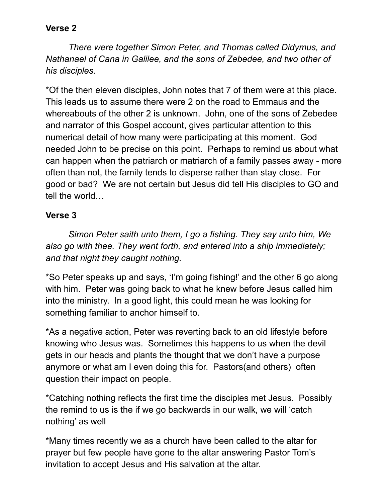### **Verse 2**

*There were together Simon Peter, and Thomas called Didymus, and Nathanael of Cana in Galilee, and the sons of Zebedee, and two other of his disciples.*

\*Of the then eleven disciples, John notes that 7 of them were at this place. This leads us to assume there were 2 on the road to Emmaus and the whereabouts of the other 2 is unknown. John, one of the sons of Zebedee and narrator of this Gospel account, gives particular attention to this numerical detail of how many were participating at this moment. God needed John to be precise on this point. Perhaps to remind us about what can happen when the patriarch or matriarch of a family passes away - more often than not, the family tends to disperse rather than stay close. For good or bad? We are not certain but Jesus did tell His disciples to GO and tell the world…

### **Verse 3**

*Simon Peter saith unto them, I go a fishing. They say unto him, We also go with thee. They went forth, and entered into a ship immediately; and that night they caught nothing.*

\*So Peter speaks up and says, 'I'm going fishing!' and the other 6 go along with him. Peter was going back to what he knew before Jesus called him into the ministry. In a good light, this could mean he was looking for something familiar to anchor himself to.

\*As a negative action, Peter was reverting back to an old lifestyle before knowing who Jesus was. Sometimes this happens to us when the devil gets in our heads and plants the thought that we don't have a purpose anymore or what am I even doing this for. Pastors(and others) often question their impact on people.

\*Catching nothing reflects the first time the disciples met Jesus. Possibly the remind to us is the if we go backwards in our walk, we will 'catch nothing' as well

\*Many times recently we as a church have been called to the altar for prayer but few people have gone to the altar answering Pastor Tom's invitation to accept Jesus and His salvation at the altar.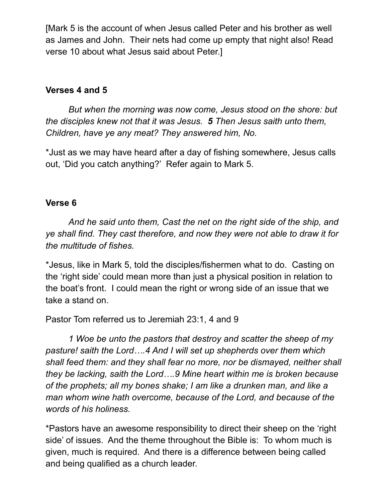[Mark 5 is the account of when Jesus called Peter and his brother as well as James and John. Their nets had come up empty that night also! Read verse 10 about what Jesus said about Peter.]

### **Verses 4 and 5**

*But when the morning was now come, Jesus stood on the shore: but the disciples knew not that it was Jesus. 5 Then Jesus saith unto them, Children, have ye any meat? They answered him, No.*

\*Just as we may have heard after a day of fishing somewhere, Jesus calls out, 'Did you catch anything?' Refer again to Mark 5.

### **Verse 6**

*And he said unto them, Cast the net on the right side of the ship, and ye shall find. They cast therefore, and now they were not able to draw it for the multitude of fishes.*

\*Jesus, like in Mark 5, told the disciples/fishermen what to do. Casting on the 'right side' could mean more than just a physical position in relation to the boat's front. I could mean the right or wrong side of an issue that we take a stand on.

Pastor Tom referred us to Jeremiah 23:1, 4 and 9

*1 Woe be unto the pastors that destroy and scatter the sheep of my pasture! saith the Lord….4 And I will set up shepherds over them which shall feed them: and they shall fear no more, nor be dismayed, neither shall they be lacking, saith the Lord….9 Mine heart within me is broken because of the prophets; all my bones shake; I am like a drunken man, and like a man whom wine hath overcome, because of the Lord, and because of the words of his holiness.*

\*Pastors have an awesome responsibility to direct their sheep on the 'right side' of issues. And the theme throughout the Bible is: To whom much is given, much is required. And there is a difference between being called and being qualified as a church leader.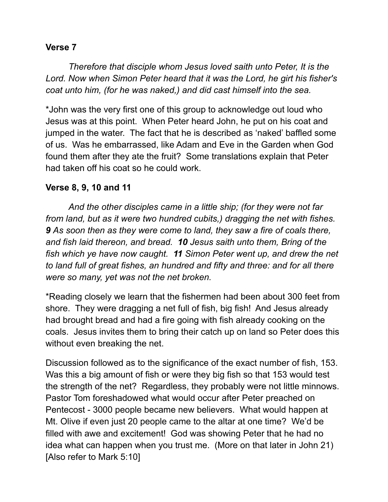### **Verse 7**

*Therefore that disciple whom Jesus loved saith unto Peter, It is the Lord. Now when Simon Peter heard that it was the Lord, he girt his fisher's coat unto him, (for he was naked,) and did cast himself into the sea.*

\*John was the very first one of this group to acknowledge out loud who Jesus was at this point. When Peter heard John, he put on his coat and jumped in the water. The fact that he is described as 'naked' baffled some of us. Was he embarrassed, like Adam and Eve in the Garden when God found them after they ate the fruit? Some translations explain that Peter had taken off his coat so he could work.

### **Verse 8, 9, 10 and 11**

*And the other disciples came in a little ship; (for they were not far from land, but as it were two hundred cubits,) dragging the net with fishes. 9 As soon then as they were come to land, they saw a fire of coals there, and fish laid thereon, and bread. 10 Jesus saith unto them, Bring of the fish which ye have now caught. 11 Simon Peter went up, and drew the net to land full of great fishes, an hundred and fifty and three: and for all there were so many, yet was not the net broken.*

\*Reading closely we learn that the fishermen had been about 300 feet from shore. They were dragging a net full of fish, big fish! And Jesus already had brought bread and had a fire going with fish already cooking on the coals. Jesus invites them to bring their catch up on land so Peter does this without even breaking the net.

Discussion followed as to the significance of the exact number of fish, 153. Was this a big amount of fish or were they big fish so that 153 would test the strength of the net? Regardless, they probably were not little minnows. Pastor Tom foreshadowed what would occur after Peter preached on Pentecost - 3000 people became new believers. What would happen at Mt. Olive if even just 20 people came to the altar at one time? We'd be filled with awe and excitement! God was showing Peter that he had no idea what can happen when you trust me. (More on that later in John 21) [Also refer to Mark 5:10]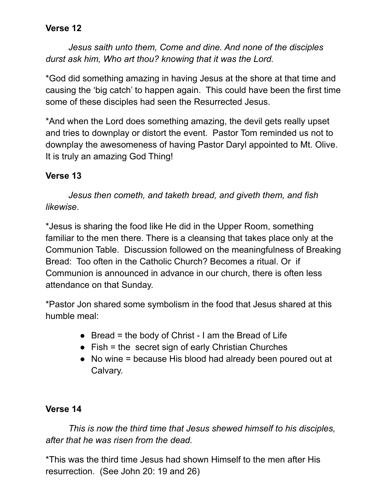## **Verse 12**

*Jesus saith unto them, Come and dine. And none of the disciples durst ask him, Who art thou? knowing that it was the Lord.*

\*God did something amazing in having Jesus at the shore at that time and causing the 'big catch' to happen again. This could have been the first time some of these disciples had seen the Resurrected Jesus.

\*And when the Lord does something amazing, the devil gets really upset and tries to downplay or distort the event. Pastor Tom reminded us not to downplay the awesomeness of having Pastor Daryl appointed to Mt. Olive. It is truly an amazing God Thing!

# **Verse 13**

*Jesus then cometh, and taketh bread, and giveth them, and fish likewise*.

\*Jesus is sharing the food like He did in the Upper Room, something familiar to the men there. There is a cleansing that takes place only at the Communion Table. Discussion followed on the meaningfulness of Breaking Bread: Too often in the Catholic Church? Becomes a ritual. Or if Communion is announced in advance in our church, there is often less attendance on that Sunday.

\*Pastor Jon shared some symbolism in the food that Jesus shared at this humble meal:

- $\bullet$  Bread = the body of Christ I am the Bread of Life
- $\bullet$  Fish = the secret sign of early Christian Churches
- No wine = because His blood had already been poured out at Calvary.

# **Verse 14**

*This is now the third time that Jesus shewed himself to his disciples, after that he was risen from the dead.*

\*This was the third time Jesus had shown Himself to the men after His resurrection. (See John 20: 19 and 26)